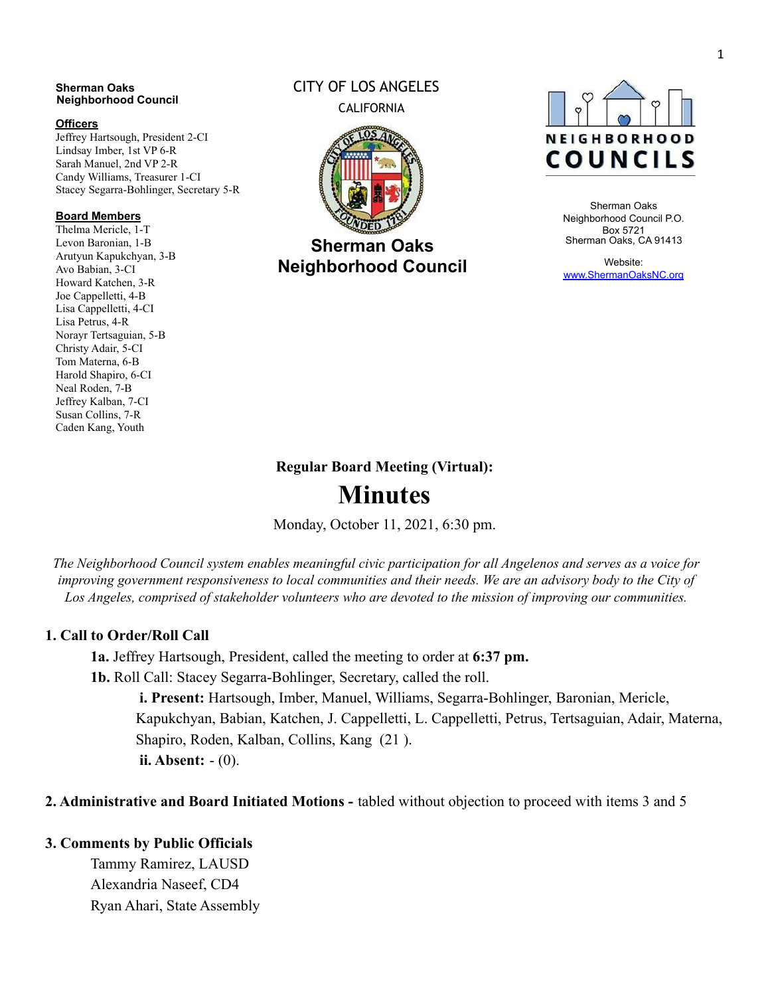#### **Sherman Oaks Neighborhood Council**

#### **Officers**

Jeffrey Hartsough, President 2-CI Lindsay Imber, 1st VP 6-R Sarah Manuel, 2nd VP 2-R Candy Williams, Treasurer 1-CI Stacey Segarra-Bohlinger, Secretary 5-R

#### **Board Members**

Thelma Mericle, 1-T Levon Baronian, 1-B Arutyun Kapukchyan, 3-B Avo Babian, 3-CI Howard Katchen, 3-R Joe Cappelletti, 4-B Lisa Cappelletti, 4-CI Lisa Petrus, 4-R Norayr Tertsaguian, 5-B Christy Adair, 5-CI Tom Materna, 6-B Harold Shapiro, 6-CI Neal Roden, 7-B Jeffrey Kalban, 7-CI Susan Collins, 7-R Caden Kang, Youth

#### CITY OF LOS ANGELES CALIFORNIA



**Sherman Oaks Neighborhood Council**



Sherman Oaks Neighborhood Council P.O. Box 5721 Sherman Oaks, CA 91413

Website: [www.ShermanOaksNC.org](http://www.shermanoaksnc.org/)

#### **Regular Board Meeting (Virtual):**

# **Minutes**

Monday, October 11, 2021, 6:30 pm.

The Neighborhood Council system enables meaningful civic participation for all Angelenos and serves as a voice for improving government responsiveness to local communities and their needs. We are an advisory body to the City of *Los Angeles, comprised of stakeholder volunteers who are devoted to the mission of improving our communities.*

#### **1. Call to Order/Roll Call**

**1a.** Jeffrey Hartsough, President, called the meeting to order at **6:37 pm. 1b.** Roll Call: Stacey Segarra-Bohlinger, Secretary, called the roll.

**i. Present:** Hartsough, Imber, Manuel, Williams, Segarra-Bohlinger, Baronian, Mericle, Kapukchyan, Babian, Katchen, J. Cappelletti, L. Cappelletti, Petrus, Tertsaguian, Adair, Materna, Shapiro, Roden, Kalban, Collins, Kang (21 ). **ii. Absent:** - (0).

**2. Administrative and Board Initiated Motions -** tabled without objection to proceed with items 3 and 5

#### **3. Comments by Public Officials**

Tammy Ramirez, LAUSD Alexandria Naseef, CD4 Ryan Ahari, State Assembly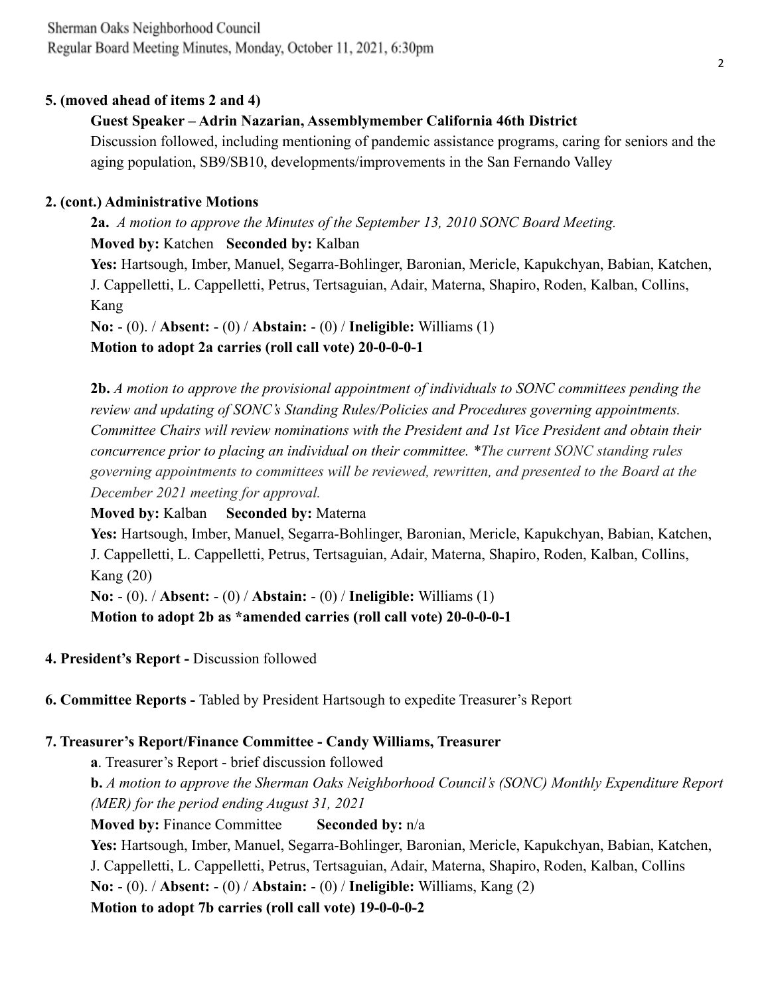### **5. (moved ahead of items 2 and 4)**

# **Guest Speaker – Adrin Nazarian, Assemblymember California 46th District**

Discussion followed, including mentioning of pandemic assistance programs, caring for seniors and the aging population, SB9/SB10, developments/improvements in the San Fernando Valley

### **2. (cont.) Administrative Motions**

**2a.** *A motion to approve the Minutes of the September 13, 2010 SONC Board Meeting.* **Moved by:** Katchen **Seconded by:** Kalban **Yes:** Hartsough, Imber, Manuel, Segarra-Bohlinger, Baronian, Mericle, Kapukchyan, Babian, Katchen, J. Cappelletti, L. Cappelletti, Petrus, Tertsaguian, Adair, Materna, Shapiro, Roden, Kalban, Collins, Kang **No:** - (0). / **Absent:** - (0) / **Abstain:** - (0) / **Ineligible:** Williams (1)

**Motion to adopt 2a carries (roll call vote) 20-0-0-0-1**

**2b.** *A motion to approve the provisional appointment of individuals to SONC committees pending the review and updating of SONC's Standing Rules/Policies and Procedures governing appointments. Committee Chairs will review nominations with the President and 1st Vice President and obtain their concurrence prior to placing an individual on their committee. \*The current SONC standing rules governing appointments to committees will be reviewed, rewritten, and presented to the Board at the December 2021 meeting for approval.*

**Moved by:** Kalban **Seconded by:** Materna

**Yes:** Hartsough, Imber, Manuel, Segarra-Bohlinger, Baronian, Mericle, Kapukchyan, Babian, Katchen, J. Cappelletti, L. Cappelletti, Petrus, Tertsaguian, Adair, Materna, Shapiro, Roden, Kalban, Collins, Kang (20)

**No:** - (0). / **Absent:** - (0) / **Abstain:** - (0) / **Ineligible:** Williams (1)

**Motion to adopt 2b as \*amended carries (roll call vote) 20-0-0-0-1**

- **4. President's Report -** Discussion followed
- **6. Committee Reports -** Tabled by President Hartsough to expedite Treasurer's Report

# **7. Treasurer's Report/Finance Committee - Candy Williams, Treasurer**

**a**. Treasurer's Report - brief discussion followed **b.** *A motion to approve the Sherman Oaks Neighborhood Council's (SONC) Monthly Expenditure Report (MER) for the period ending August 31, 2021* **Moved by:** Finance Committee **Seconded by:** n/a **Yes:** Hartsough, Imber, Manuel, Segarra-Bohlinger, Baronian, Mericle, Kapukchyan, Babian, Katchen, J. Cappelletti, L. Cappelletti, Petrus, Tertsaguian, Adair, Materna, Shapiro, Roden, Kalban, Collins **No:** - (0). / **Absent:** - (0) / **Abstain:** - (0) / **Ineligible:** Williams, Kang (2) **Motion to adopt 7b carries (roll call vote) 19-0-0-0-2**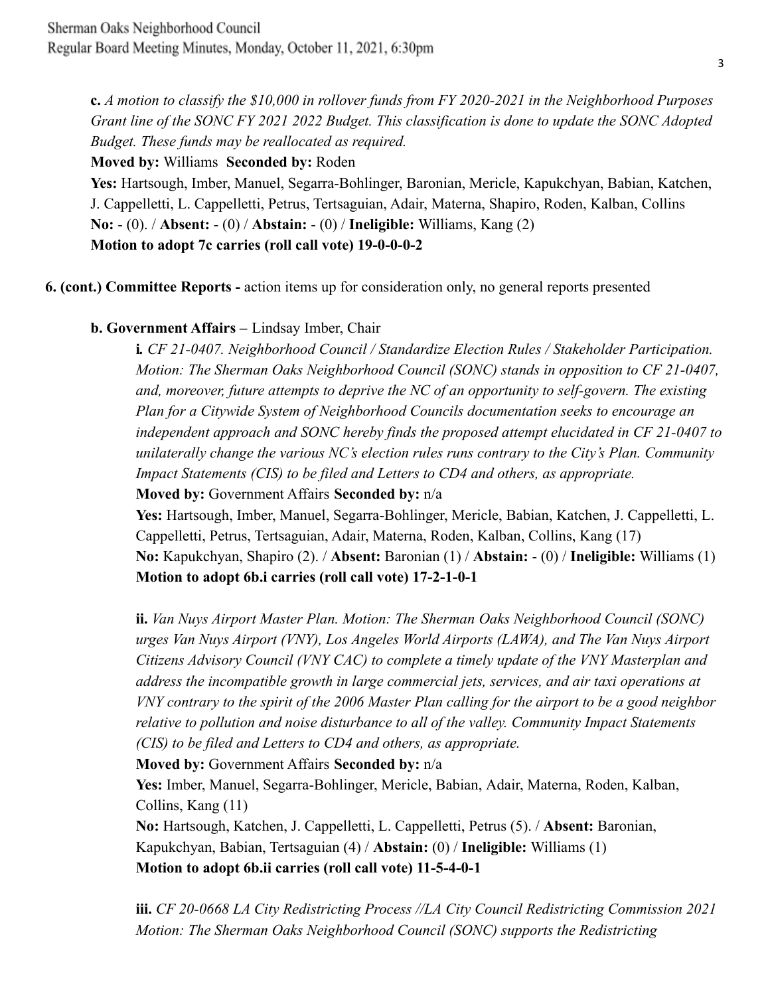**c.** *A motion to classify the \$10,000 in rollover funds from FY 2020-2021 in the Neighborhood Purposes Grant line of the SONC FY 2021 2022 Budget. This classification is done to update the SONC Adopted Budget. These funds may be reallocated as required.*

# **Moved by:** Williams **Seconded by:** Roden

**Yes:** Hartsough, Imber, Manuel, Segarra-Bohlinger, Baronian, Mericle, Kapukchyan, Babian, Katchen, J. Cappelletti, L. Cappelletti, Petrus, Tertsaguian, Adair, Materna, Shapiro, Roden, Kalban, Collins **No:** - (0). / **Absent:** - (0) / **Abstain:** - (0) / **Ineligible:** Williams, Kang (2) **Motion to adopt 7c carries (roll call vote) 19-0-0-0-2**

**6. (cont.) Committee Reports -** action items up for consideration only, no general reports presented

# **b. Government Affairs –** Lindsay Imber, Chair

**i***. CF 21-0407. Neighborhood Council / Standardize Election Rules / Stakeholder Participation. Motion: The Sherman Oaks Neighborhood Council (SONC) stands in opposition to CF 21-0407, and, moreover, future attempts to deprive the NC of an opportunity to self-govern. The existing Plan for a Citywide System of Neighborhood Councils documentation seeks to encourage an independent approach and SONC hereby finds the proposed attempt elucidated in CF 21-0407 to unilaterally change the various NC's election rules runs contrary to the City's Plan. Community Impact Statements (CIS) to be filed and Letters to CD4 and others, as appropriate.*

**Moved by:** Government Affairs **Seconded by:** n/a

**Yes:** Hartsough, Imber, Manuel, Segarra-Bohlinger, Mericle, Babian, Katchen, J. Cappelletti, L. Cappelletti, Petrus, Tertsaguian, Adair, Materna, Roden, Kalban, Collins, Kang (17) **No:** Kapukchyan, Shapiro (2). / **Absent:** Baronian (1) / **Abstain:** - (0) / **Ineligible:** Williams (1) **Motion to adopt 6b.i carries (roll call vote) 17-2-1-0-1**

**ii.** *Van Nuys Airport Master Plan. Motion: The Sherman Oaks Neighborhood Council (SONC) urges Van Nuys Airport (VNY), Los Angeles World Airports (LAWA), and The Van Nuys Airport Citizens Advisory Council (VNY CAC) to complete a timely update of the VNY Masterplan and address the incompatible growth in large commercial jets, services, and air taxi operations at VNY contrary to the spirit of the 2006 Master Plan calling for the airport to be a good neighbor relative to pollution and noise disturbance to all of the valley. Community Impact Statements (CIS) to be filed and Letters to CD4 and others, as appropriate.*

**Moved by:** Government Affairs **Seconded by:** n/a

**Yes:** Imber, Manuel, Segarra-Bohlinger, Mericle, Babian, Adair, Materna, Roden, Kalban, Collins, Kang (11)

**No:** Hartsough, Katchen, J. Cappelletti, L. Cappelletti, Petrus (5). / **Absent:** Baronian, Kapukchyan, Babian, Tertsaguian (4) / **Abstain:** (0) / **Ineligible:** Williams (1) **Motion to adopt 6b.ii carries (roll call vote) 11-5-4-0-1**

**iii.** *CF 20-0668 LA City Redistricting Process //LA City Council Redistricting Commission 2021 Motion: The Sherman Oaks Neighborhood Council (SONC) supports the Redistricting*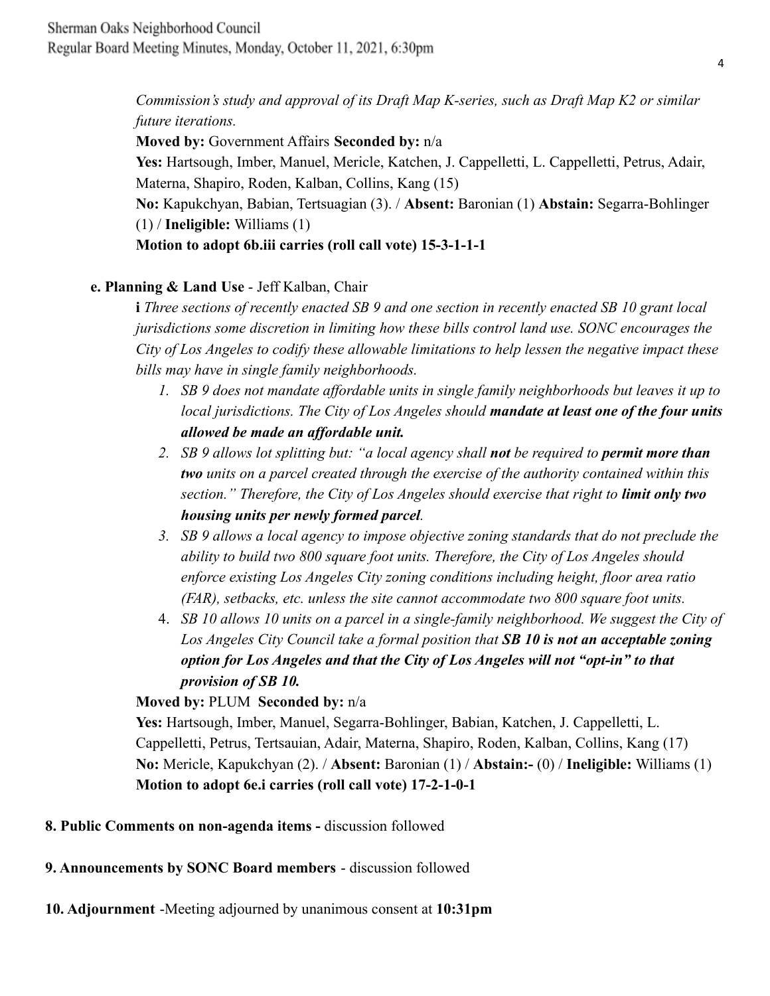*Commission's study and approval of its Draft Map K-series, such as Draft Map K2 or similar future iterations.*

**Moved by:** Government Affairs **Seconded by:** n/a

**Yes:** Hartsough, Imber, Manuel, Mericle, Katchen, J. Cappelletti, L. Cappelletti, Petrus, Adair, Materna, Shapiro, Roden, Kalban, Collins, Kang (15)

**No:** Kapukchyan, Babian, Tertsuagian (3). / **Absent:** Baronian (1) **Abstain:** Segarra-Bohlinger (1) / **Ineligible:** Williams (1)

**Motion to adopt 6b.iii carries (roll call vote) 15-3-1-1-1**

# **e. Planning & Land Use** - Jeff Kalban, Chair

**i** *Three sections of recently enacted SB 9 and one section in recently enacted SB 10 grant local jurisdictions some discretion in limiting how these bills control land use. SONC encourages the City of Los Angeles to codify these allowable limitations to help lessen the negative impact these bills may have in single family neighborhoods.*

- *1. SB 9 does not mandate affordable units in single family neighborhoods but leaves it up to local jurisdictions. The City of Los Angeles should mandate at least one of the four units allowed be made an affordable unit.*
- *2. SB 9 allows lot splitting but: "a local agency shall not be required to permit more than two units on a parcel created through the exercise of the authority contained within this section." Therefore, the City of Los Angeles should exercise that right to limit only two housing units per newly formed parcel.*
- *3. SB 9 allows a local agency to impose objective zoning standards that do not preclude the ability to build two 800 square foot units. Therefore, the City of Los Angeles should enforce existing Los Angeles City zoning conditions including height, floor area ratio (FAR), setbacks, etc. unless the site cannot accommodate two 800 square foot units.*
- 4. *SB 10 allows 10 units on a parcel in a single-family neighborhood. We suggest the City of Los Angeles City Council take a formal position that SB 10 is not an acceptable zoning option for Los Angeles and that the City of Los Angeles will not "opt-in" to that provision of SB 10.*

**Moved by:** PLUM **Seconded by:** n/a

**Yes:** Hartsough, Imber, Manuel, Segarra-Bohlinger, Babian, Katchen, J. Cappelletti, L. Cappelletti, Petrus, Tertsauian, Adair, Materna, Shapiro, Roden, Kalban, Collins, Kang (17) **No:** Mericle, Kapukchyan (2). / **Absent:** Baronian (1) / **Abstain:-** (0) / **Ineligible:** Williams (1) **Motion to adopt 6e.i carries (roll call vote) 17-2-1-0-1**

**8. Public Comments on non-agenda items -** discussion followed

**9. Announcements by SONC Board members** - discussion followed

**10. Adjournment** -Meeting adjourned by unanimous consent at **10:31pm**